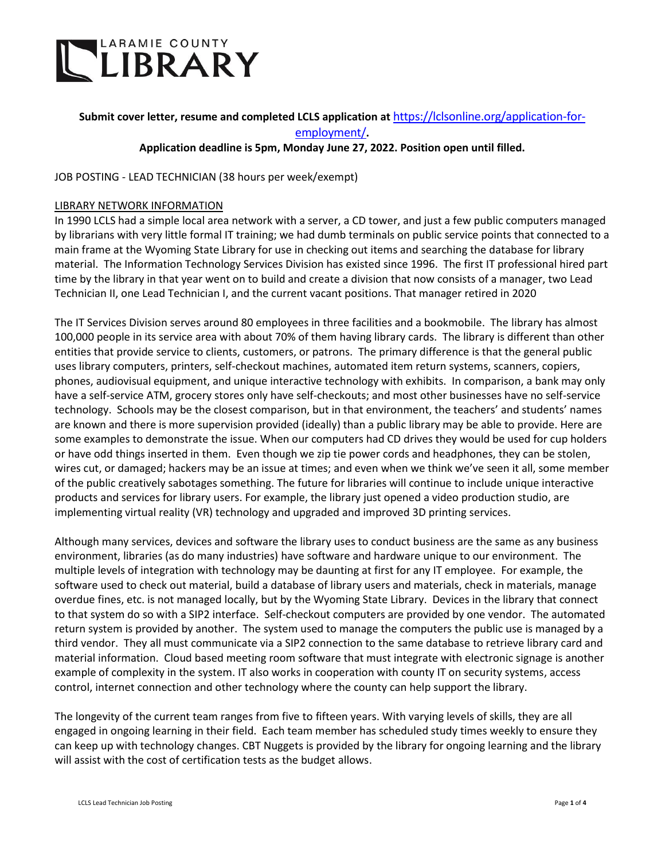

# **Submit cover letter, resume and completed LCLS application at** [https://lclsonline.org/application-for](https://lclsonline.org/application-for-employment/)[employment/](https://lclsonline.org/application-for-employment/)**.**

# **Application deadline is 5pm, Monday June 27, 2022. Position open until filled.**

#### JOB POSTING - LEAD TECHNICIAN (38 hours per week/exempt)

#### LIBRARY NETWORK INFORMATION

In 1990 LCLS had a simple local area network with a server, a CD tower, and just a few public computers managed by librarians with very little formal IT training; we had dumb terminals on public service points that connected to a main frame at the Wyoming State Library for use in checking out items and searching the database for library material. The Information Technology Services Division has existed since 1996. The first IT professional hired part time by the library in that year went on to build and create a division that now consists of a manager, two Lead Technician II, one Lead Technician I, and the current vacant positions. That manager retired in 2020

The IT Services Division serves around 80 employees in three facilities and a bookmobile. The library has almost 100,000 people in its service area with about 70% of them having library cards. The library is different than other entities that provide service to clients, customers, or patrons. The primary difference is that the general public uses library computers, printers, self-checkout machines, automated item return systems, scanners, copiers, phones, audiovisual equipment, and unique interactive technology with exhibits. In comparison, a bank may only have a self-service ATM, grocery stores only have self-checkouts; and most other businesses have no self-service technology. Schools may be the closest comparison, but in that environment, the teachers' and students' names are known and there is more supervision provided (ideally) than a public library may be able to provide. Here are some examples to demonstrate the issue. When our computers had CD drives they would be used for cup holders or have odd things inserted in them. Even though we zip tie power cords and headphones, they can be stolen, wires cut, or damaged; hackers may be an issue at times; and even when we think we've seen it all, some member of the public creatively sabotages something. The future for libraries will continue to include unique interactive products and services for library users. For example, the library just opened a video production studio, are implementing virtual reality (VR) technology and upgraded and improved 3D printing services.

Although many services, devices and software the library uses to conduct business are the same as any business environment, libraries (as do many industries) have software and hardware unique to our environment. The multiple levels of integration with technology may be daunting at first for any IT employee. For example, the software used to check out material, build a database of library users and materials, check in materials, manage overdue fines, etc. is not managed locally, but by the Wyoming State Library. Devices in the library that connect to that system do so with a SIP2 interface. Self-checkout computers are provided by one vendor. The automated return system is provided by another. The system used to manage the computers the public use is managed by a third vendor. They all must communicate via a SIP2 connection to the same database to retrieve library card and material information. Cloud based meeting room software that must integrate with electronic signage is another example of complexity in the system. IT also works in cooperation with county IT on security systems, access control, internet connection and other technology where the county can help support the library.

The longevity of the current team ranges from five to fifteen years. With varying levels of skills, they are all engaged in ongoing learning in their field. Each team member has scheduled study times weekly to ensure they can keep up with technology changes. CBT Nuggets is provided by the library for ongoing learning and the library will assist with the cost of certification tests as the budget allows.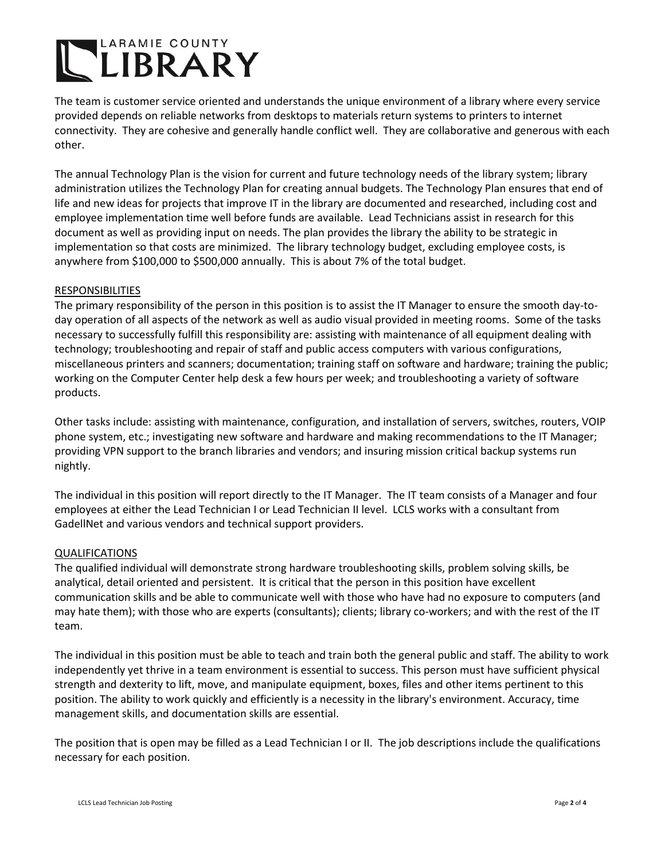# LARAMIE COUNTY

The team is customer service oriented and understands the unique environment of a library where every service provided depends on reliable networks from desktops to materials return systems to printers to internet connectivity. They are cohesive and generally handle conflict well. They are collaborative and generous with each other.

The annual Technology Plan is the vision for current and future technology needs of the library system; library administration utilizes the Technology Plan for creating annual budgets. The Technology Plan ensures that end of life and new ideas for projects that improve IT in the library are documented and researched, including cost and employee implementation time well before funds are available. Lead Technicians assist in research for this document as well as providing input on needs. The plan provides the library the ability to be strategic in implementation so that costs are minimized. The library technology budget, excluding employee costs, is anywhere from \$100,000 to \$500,000 annually. This is about 7% of the total budget.

#### RESPONSIBILITIES

The primary responsibility of the person in this position is to assist the IT Manager to ensure the smooth day-today operation of all aspects of the network as well as audio visual provided in meeting rooms. Some of the tasks necessary to successfully fulfill this responsibility are: assisting with maintenance of all equipment dealing with technology; troubleshooting and repair of staff and public access computers with various configurations, miscellaneous printers and scanners; documentation; training staff on software and hardware; training the public; working on the Computer Center help desk a few hours per week; and troubleshooting a variety of software products.

Other tasks include: assisting with maintenance, configuration, and installation of servers, switches, routers, VOIP phone system, etc.; investigating new software and hardware and making recommendations to the IT Manager; providing VPN support to the branch libraries and vendors; and insuring mission critical backup systems run nightly.

The individual in this position will report directly to the IT Manager. The IT team consists of a Manager and four employees at either the Lead Technician I or Lead Technician II level. LCLS works with a consultant from GadellNet and various vendors and technical support providers.

## QUALIFICATIONS

The qualified individual will demonstrate strong hardware troubleshooting skills, problem solving skills, be analytical, detail oriented and persistent. It is critical that the person in this position have excellent communication skills and be able to communicate well with those who have had no exposure to computers (and may hate them); with those who are experts (consultants); clients; library co-workers; and with the rest of the IT team.

The individual in this position must be able to teach and train both the general public and staff. The ability to work independently yet thrive in a team environment is essential to success. This person must have sufficient physical strength and dexterity to lift, move, and manipulate equipment, boxes, files and other items pertinent to this position. The ability to work quickly and efficiently is a necessity in the library's environment. Accuracy, time management skills, and documentation skills are essential.

The position that is open may be filled as a Lead Technician I or II. The job descriptions include the qualifications necessary for each position.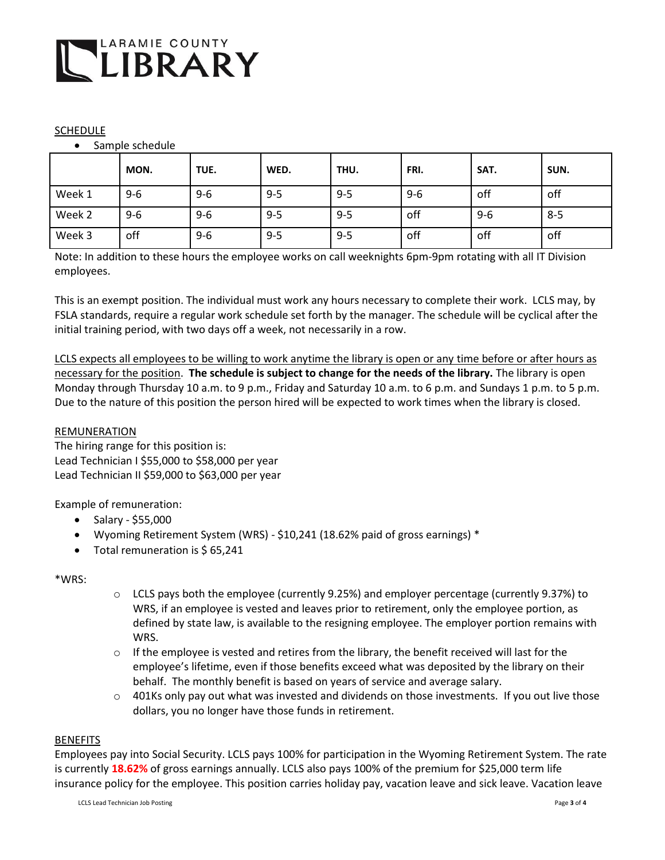

### SCHEDULE

Sample schedule

|        | MON.  | TUE.    | WED.    | THU.    | FRI.    | SAT.    | SUN.    |
|--------|-------|---------|---------|---------|---------|---------|---------|
| Week 1 | $9-6$ | $9-6$   | $9 - 5$ | $9 - 5$ | $9 - 6$ | off     | off     |
| Week 2 | $9-6$ | $9 - 6$ | $9 - 5$ | $9 - 5$ | off     | $9 - 6$ | $8 - 5$ |
| Week 3 | off   | $9 - 6$ | $9 - 5$ | $9 - 5$ | off     | off     | off     |

Note: In addition to these hours the employee works on call weeknights 6pm-9pm rotating with all IT Division employees.

This is an exempt position. The individual must work any hours necessary to complete their work. LCLS may, by FSLA standards, require a regular work schedule set forth by the manager. The schedule will be cyclical after the initial training period, with two days off a week, not necessarily in a row.

LCLS expects all employees to be willing to work anytime the library is open or any time before or after hours as necessary for the position. **The schedule is subject to change for the needs of the library.** The library is open Monday through Thursday 10 a.m. to 9 p.m., Friday and Saturday 10 a.m. to 6 p.m. and Sundays 1 p.m. to 5 p.m. Due to the nature of this position the person hired will be expected to work times when the library is closed.

### REMUNERATION

The hiring range for this position is: Lead Technician I \$55,000 to \$58,000 per year Lead Technician II \$59,000 to \$63,000 per year

Example of remuneration:

- $\bullet$  Salary \$55,000
- Wyoming Retirement System (WRS) \$10,241 (18.62% paid of gross earnings) \*
- Total remuneration is \$65,241

\*WRS:

- o LCLS pays both the employee (currently 9.25%) and employer percentage (currently 9.37%) to WRS, if an employee is vested and leaves prior to retirement, only the employee portion, as defined by state law, is available to the resigning employee. The employer portion remains with WRS.
- $\circ$  If the employee is vested and retires from the library, the benefit received will last for the employee's lifetime, even if those benefits exceed what was deposited by the library on their behalf. The monthly benefit is based on years of service and average salary.
- $\circ$  401Ks only pay out what was invested and dividends on those investments. If you out live those dollars, you no longer have those funds in retirement.

#### BENEFITS

Employees pay into Social Security. LCLS pays 100% for participation in the Wyoming Retirement System. The rate is currently **18.62%** of gross earnings annually. LCLS also pays 100% of the premium for \$25,000 term life insurance policy for the employee. This position carries holiday pay, vacation leave and sick leave. Vacation leave